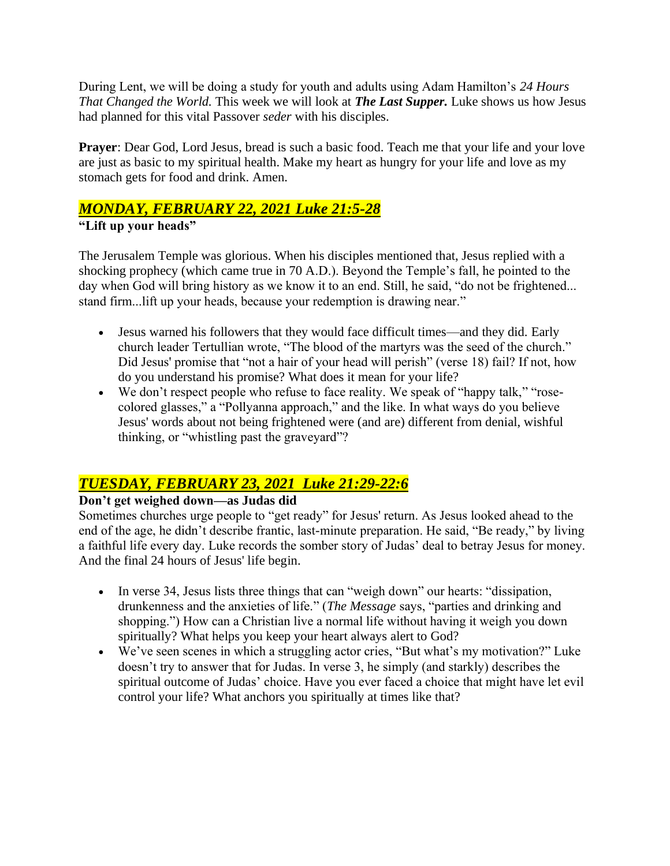During Lent, we will be doing a study for youth and adults using Adam Hamilton's *24 Hours That Changed the World.* This week we will look at *The Last Supper.* Luke shows us how Jesus had planned for this vital Passover *seder* with his disciples.

**Prayer:** Dear God, Lord Jesus, bread is such a basic food. Teach me that your life and your love are just as basic to my spiritual health. Make my heart as hungry for your life and love as my stomach gets for food and drink. Amen.

# *MONDAY, FEBRUARY 22, 2021 Luke 21:5-28*

#### **"Lift up your heads"**

The Jerusalem Temple was glorious. When his disciples mentioned that, Jesus replied with a shocking prophecy (which came true in 70 A.D.). Beyond the Temple's fall, he pointed to the day when God will bring history as we know it to an end. Still, he said, "do not be frightened... stand firm...lift up your heads, because your redemption is drawing near."

- Jesus warned his followers that they would face difficult times—and they did. Early church leader Tertullian wrote, "The blood of the martyrs was the seed of the church." Did Jesus' promise that "not a hair of your head will perish" (verse 18) fail? If not, how do you understand his promise? What does it mean for your life?
- We don't respect people who refuse to face reality. We speak of "happy talk," "rosecolored glasses," a "Pollyanna approach," and the like. In what ways do you believe Jesus' words about not being frightened were (and are) different from denial, wishful thinking, or "whistling past the graveyard"?

# *TUESDAY, FEBRUARY 23, 2021 Luke 21:29-22:6*

#### **Don't get weighed down—as Judas did**

Sometimes churches urge people to "get ready" for Jesus' return. As Jesus looked ahead to the end of the age, he didn't describe frantic, last-minute preparation. He said, "Be ready," by living a faithful life every day. Luke records the somber story of Judas' deal to betray Jesus for money. And the final 24 hours of Jesus' life begin.

- In verse 34, Jesus lists three things that can "weigh down" our hearts: "dissipation, drunkenness and the anxieties of life." (*The Message* says, "parties and drinking and shopping.") How can a Christian live a normal life without having it weigh you down spiritually? What helps you keep your heart always alert to God?
- We've seen scenes in which a struggling actor cries, "But what's my motivation?" Luke doesn't try to answer that for Judas. In verse 3, he simply (and starkly) describes the spiritual outcome of Judas' choice. Have you ever faced a choice that might have let evil control your life? What anchors you spiritually at times like that?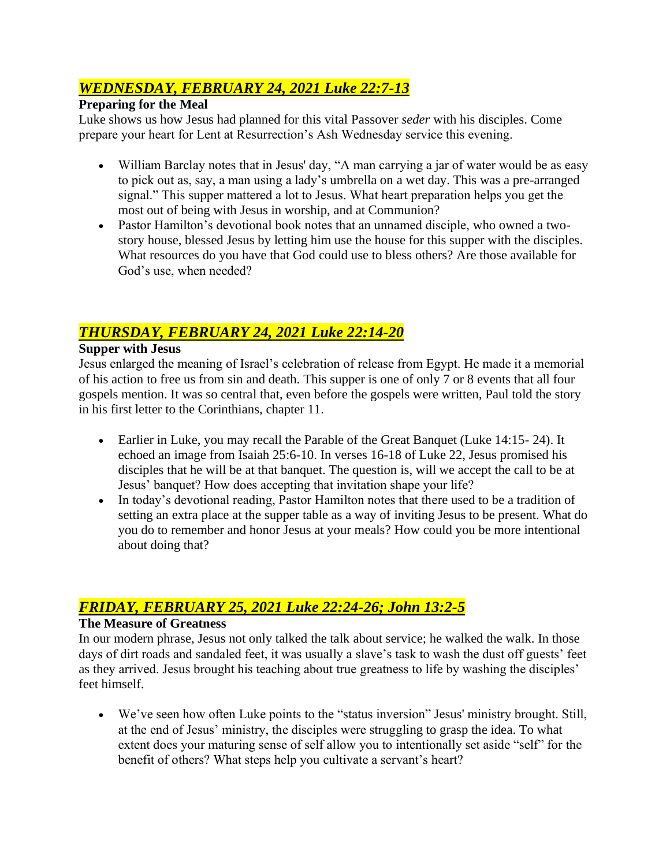## *WEDNESDAY, FEBRUARY 24, 2021 Luke 22:7-13*

#### **Preparing for the Meal**

Luke shows us how Jesus had planned for this vital Passover *seder* with his disciples. Come prepare your heart for Lent at Resurrection's Ash Wednesday service this evening.

- William Barclay notes that in Jesus' day, "A man carrying a jar of water would be as easy to pick out as, say, a man using a lady's umbrella on a wet day. This was a pre-arranged signal." This supper mattered a lot to Jesus. What heart preparation helps you get the most out of being with Jesus in worship, and at Communion?
- Pastor Hamilton's devotional book notes that an unnamed disciple, who owned a twostory house, blessed Jesus by letting him use the house for this supper with the disciples. What resources do you have that God could use to bless others? Are those available for God's use, when needed?

# *THURSDAY, FEBRUARY 24, 2021 Luke 22:14-20*

#### **Supper with Jesus**

Jesus enlarged the meaning of Israel's celebration of release from Egypt. He made it a memorial of his action to free us from sin and death. This supper is one of only 7 or 8 events that all four gospels mention. It was so central that, even before the gospels were written, Paul told the story in his first letter to the Corinthians, chapter 11.

- Earlier in Luke, you may recall the Parable of the Great Banquet (Luke 14:15-24). It echoed an image from Isaiah 25:6-10. In verses 16-18 of Luke 22, Jesus promised his disciples that he will be at that banquet. The question is, will we accept the call to be at Jesus' banquet? How does accepting that invitation shape your life?
- In today's devotional reading, Pastor Hamilton notes that there used to be a tradition of setting an extra place at the supper table as a way of inviting Jesus to be present. What do you do to remember and honor Jesus at your meals? How could you be more intentional about doing that?

## *FRIDAY, FEBRUARY 25, 2021 Luke 22:24-26; John 13:2-5*

#### **The Measure of Greatness**

In our modern phrase, Jesus not only talked the talk about service; he walked the walk. In those days of dirt roads and sandaled feet, it was usually a slave's task to wash the dust off guests' feet as they arrived. Jesus brought his teaching about true greatness to life by washing the disciples' feet himself.

• We've seen how often Luke points to the "status inversion" Jesus' ministry brought. Still, at the end of Jesus' ministry, the disciples were struggling to grasp the idea. To what extent does your maturing sense of self allow you to intentionally set aside "self" for the benefit of others? What steps help you cultivate a servant's heart?